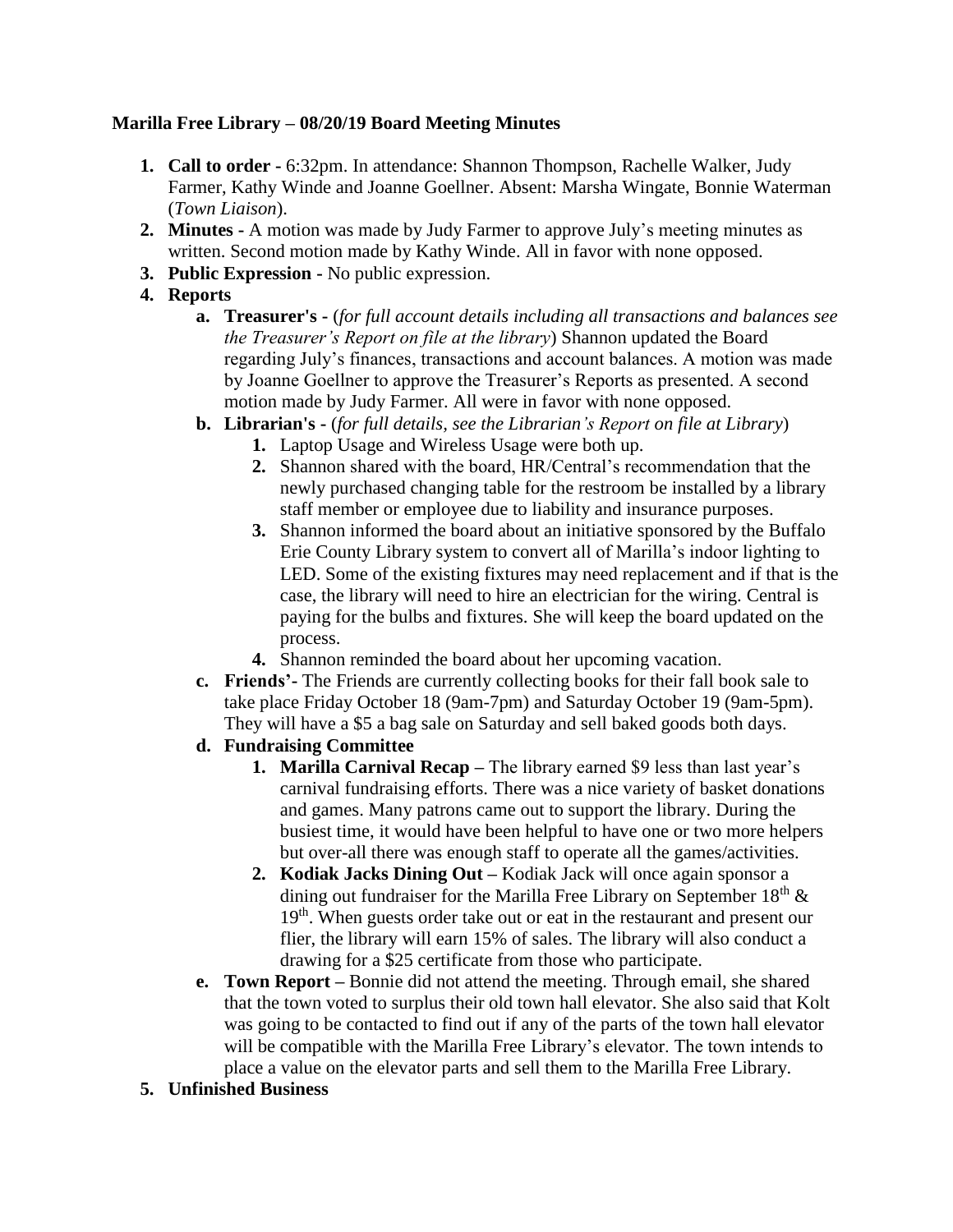## **Marilla Free Library – 08/20/19 Board Meeting Minutes**

- **1. Call to order -** 6:32pm. In attendance: Shannon Thompson, Rachelle Walker, Judy Farmer, Kathy Winde and Joanne Goellner. Absent: Marsha Wingate, Bonnie Waterman (*Town Liaison*).
- **2. Minutes -** A motion was made by Judy Farmer to approve July's meeting minutes as written. Second motion made by Kathy Winde. All in favor with none opposed.
- **3. Public Expression -** No public expression.
- **4. Reports**
	- **a. Treasurer's -** (*for full account details including all transactions and balances see the Treasurer's Report on file at the library*) Shannon updated the Board regarding July's finances, transactions and account balances. A motion was made by Joanne Goellner to approve the Treasurer's Reports as presented. A second motion made by Judy Farmer. All were in favor with none opposed.
	- **b. Librarian's -** (*for full details, see the Librarian's Report on file at Library*)
		- **1.** Laptop Usage and Wireless Usage were both up.
		- **2.** Shannon shared with the board, HR/Central's recommendation that the newly purchased changing table for the restroom be installed by a library staff member or employee due to liability and insurance purposes.
		- **3.** Shannon informed the board about an initiative sponsored by the Buffalo Erie County Library system to convert all of Marilla's indoor lighting to LED. Some of the existing fixtures may need replacement and if that is the case, the library will need to hire an electrician for the wiring. Central is paying for the bulbs and fixtures. She will keep the board updated on the process.
		- **4.** Shannon reminded the board about her upcoming vacation.
	- **c. Friends'-** The Friends are currently collecting books for their fall book sale to take place Friday October 18 (9am-7pm) and Saturday October 19 (9am-5pm). They will have a \$5 a bag sale on Saturday and sell baked goods both days.
	- **d. Fundraising Committee**
		- **1. Marilla Carnival Recap –** The library earned \$9 less than last year's carnival fundraising efforts. There was a nice variety of basket donations and games. Many patrons came out to support the library. During the busiest time, it would have been helpful to have one or two more helpers but over-all there was enough staff to operate all the games/activities.
		- **2. Kodiak Jacks Dining Out –** Kodiak Jack will once again sponsor a dining out fundraiser for the Marilla Free Library on September  $18<sup>th</sup>$  & 19<sup>th</sup>. When guests order take out or eat in the restaurant and present our flier, the library will earn 15% of sales. The library will also conduct a drawing for a \$25 certificate from those who participate.
	- **e. Town Report –** Bonnie did not attend the meeting. Through email, she shared that the town voted to surplus their old town hall elevator. She also said that Kolt was going to be contacted to find out if any of the parts of the town hall elevator will be compatible with the Marilla Free Library's elevator. The town intends to place a value on the elevator parts and sell them to the Marilla Free Library.
- **5. Unfinished Business**